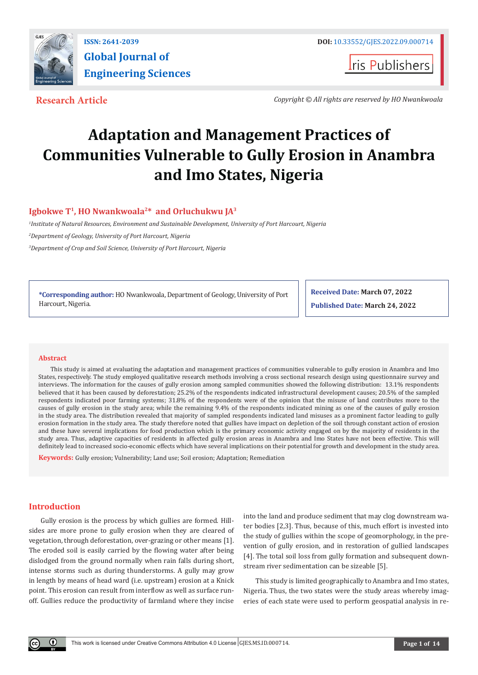

**Iris Publishers** 

**Research Article** *Copyright © All rights are reserved by HO Nwankwoala*

# **Adaptation and Management Practices of Communities Vulnerable to Gully Erosion in Anambra and Imo States, Nigeria**

# **Igbokwe T1, HO Nwankwoala2\* and Orluchukwu JA3**

*1 Institute of Natural Resources, Environment and Sustainable Development, University of Port Harcourt, Nigeria*

*2 Department of Geology, University of Port Harcourt, Nigeria*

*3 Department of Crop and Soil Science, University of Port Harcourt, Nigeria*

**\*Corresponding author:** HO Nwankwoala, Department of Geology, University of Port Harcourt, Nigeria.

**Received Date: March 07, 2022 Published Date: March 24, 2022**

#### **Abstract**

This study is aimed at evaluating the adaptation and management practices of communities vulnerable to gully erosion in Anambra and Imo States, respectively. The study employed qualitative research methods involving a cross sectional research design using questionnaire survey and interviews. The information for the causes of gully erosion among sampled communities showed the following distribution: 13.1% respondents believed that it has been caused by deforestation; 25.2% of the respondents indicated infrastructural development causes; 20.5% of the sampled respondents indicated poor farming systems; 31.8% of the respondents were of the opinion that the misuse of land contributes more to the causes of gully erosion in the study area; while the remaining 9.4% of the respondents indicated mining as one of the causes of gully erosion in the study area. The distribution revealed that majority of sampled respondents indicated land misuses as a prominent factor leading to gully erosion formation in the study area. The study therefore noted that gullies have impact on depletion of the soil through constant action of erosion and these have several implications for food production which is the primary economic activity engaged on by the majority of residents in the study area. Thus, adaptive capacities of residents in affected gully erosion areas in Anambra and Imo States have not been effective. This will definitely lead to increased socio-economic effects which have several implications on their potential for growth and development in the study area.

**Keywords:** Gully erosion; Vulnerability; Land use; Soil erosion; Adaptation; Remediation

# **Introduction**

Gully erosion is the process by which gullies are formed. Hillsides are more prone to gully erosion when they are cleared of vegetation, through deforestation, over-grazing or other means [1]. The eroded soil is easily carried by the flowing water after being dislodged from the ground normally when rain falls during short, intense storms such as during thunderstorms. A gully may grow in length by means of head ward (i.e. upstream) erosion at a Knick point. This erosion can result from interflow as well as surface runoff. Gullies reduce the productivity of farmland where they incise

into the land and produce sediment that may clog downstream water bodies [2,3]. Thus, because of this, much effort is invested into the study of gullies within the scope of geomorphology, in the prevention of gully erosion, and in restoration of gullied landscapes [4]. The total soil loss from gully formation and subsequent downstream river sedimentation can be sizeable [5].

This study is limited geographically to Anambra and Imo states, Nigeria. Thus, the two states were the study areas whereby imageries of each state were used to perform geospatial analysis in re-

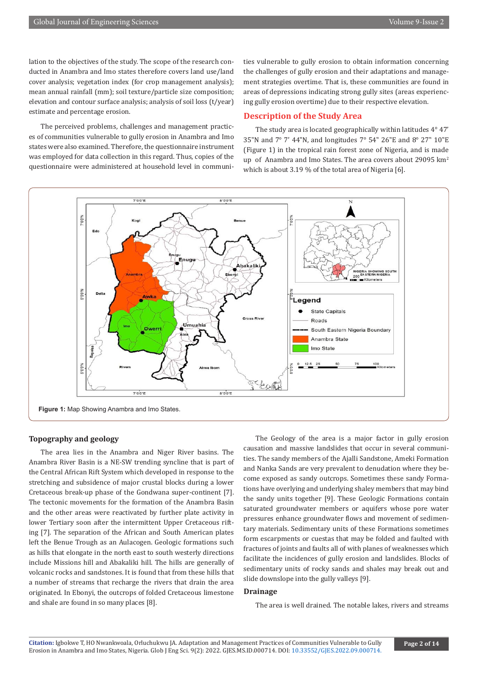lation to the objectives of the study. The scope of the research conducted in Anambra and Imo states therefore covers land use/land cover analysis; vegetation index (for crop management analysis); mean annual rainfall (mm); soil texture/particle size composition; elevation and contour surface analysis; analysis of soil loss (t/year) estimate and percentage erosion.

The perceived problems, challenges and management practices of communities vulnerable to gully erosion in Anambra and Imo states were also examined. Therefore, the questionnaire instrument was employed for data collection in this regard. Thus, copies of the questionnaire were administered at household level in communities vulnerable to gully erosion to obtain information concerning the challenges of gully erosion and their adaptations and management strategies overtime. That is, these communities are found in areas of depressions indicating strong gully sites (areas experiencing gully erosion overtime) due to their respective elevation.

# **Description of the Study Area**

The study area is located geographically within latitudes 4° 47' 35"N and 7° 7' 44"N, and longitudes 7° 54" 26"E and 8° 27" 10"E (Figure 1) in the tropical rain forest zone of Nigeria, and is made up of Anambra and Imo States. The area covers about 29095 km<sup>2</sup> which is about 3.19 % of the total area of Nigeria [6].



# **Topography and geology**

The area lies in the Anambra and Niger River basins. The Anambra River Basin is a NE-SW trending syncline that is part of the Central African Rift System which developed in response to the stretching and subsidence of major crustal blocks during a lower Cretaceous break-up phase of the Gondwana super-continent [7]. The tectonic movements for the formation of the Anambra Basin and the other areas were reactivated by further plate activity in lower Tertiary soon after the intermittent Upper Cretaceous rifting [7]. The separation of the African and South American plates left the Benue Trough as an Aulacogen. Geologic formations such as hills that elongate in the north east to south westerly directions include Missions hill and Abakaliki hill. The hills are generally of volcanic rocks and sandstones. It is found that from these hills that a number of streams that recharge the rivers that drain the area originated. In Ebonyi, the outcrops of folded Cretaceous limestone and shale are found in so many places [8].

The Geology of the area is a major factor in gully erosion causation and massive landslides that occur in several communities. The sandy members of the Ajalli Sandstone, Ameki Formation and Nanka Sands are very prevalent to denudation where they become exposed as sandy outcrops. Sometimes these sandy Formations have overlying and underlying shaley members that may bind the sandy units together [9]. These Geologic Formations contain saturated groundwater members or aquifers whose pore water pressures enhance groundwater flows and movement of sedimentary materials. Sedimentary units of these Formations sometimes form escarpments or cuestas that may be folded and faulted with fractures of joints and faults all of with planes of weaknesses which facilitate the incidences of gully erosion and landslides. Blocks of sedimentary units of rocky sands and shales may break out and slide downslope into the gully valleys [9].

# **Drainage**

The area is well drained. The notable lakes, rivers and streams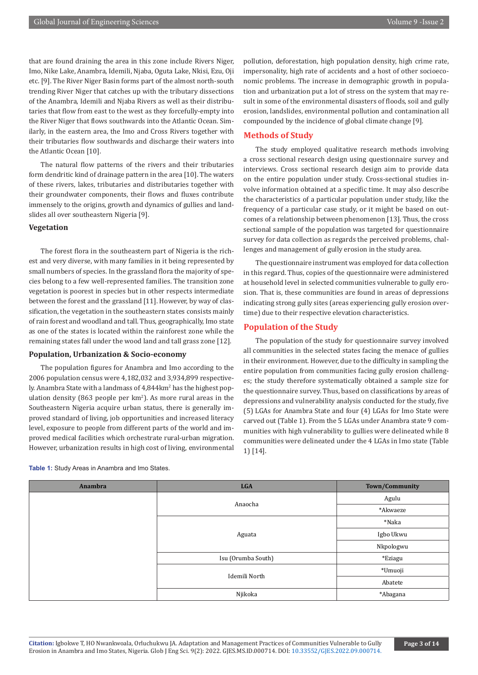that are found draining the area in this zone include Rivers Niger, Imo, Nike Lake, Anambra, Idemili, Njaba, Oguta Lake, Nkisi, Ezu, Oji etc. [9]. The River Niger Basin forms part of the almost north-south trending River Niger that catches up with the tributary dissections of the Anambra, Idemili and Njaba Rivers as well as their distributaries that flow from east to the west as they forcefully-empty into the River Niger that flows southwards into the Atlantic Ocean. Similarly, in the eastern area, the Imo and Cross Rivers together with their tributaries flow southwards and discharge their waters into the Atlantic Ocean [10].

The natural flow patterns of the rivers and their tributaries form dendritic kind of drainage pattern in the area [10]. The waters of these rivers, lakes, tributaries and distributaries together with their groundwater components, their flows and fluxes contribute immensely to the origins, growth and dynamics of gullies and landslides all over southeastern Nigeria [9].

# **Vegetation**

The forest flora in the southeastern part of Nigeria is the richest and very diverse, with many families in it being represented by small numbers of species. In the grassland flora the majority of species belong to a few well-represented families. The transition zone vegetation is poorest in species but in other respects intermediate between the forest and the grassland [11]. However, by way of classification, the vegetation in the southeastern states consists mainly of rain forest and woodland and tall. Thus, geographically, Imo state as one of the states is located within the rainforest zone while the remaining states fall under the wood land and tall grass zone [12].

### **Population, Urbanization & Socio-economy**

The population figures for Anambra and Imo according to the 2006 population census were 4,182,032 and 3,934,899 respectively. Anambra State with a landmass of 4,844km<sup>2</sup> has the highest population density (863 people per  $km^2$ ). As more rural areas in the Southeastern Nigeria acquire urban status, there is generally improved standard of living, job opportunities and increased literacy level, exposure to people from different parts of the world and improved medical facilities which orchestrate rural-urban migration. However, urbanization results in high cost of living, environmental

pollution, deforestation, high population density, high crime rate, impersonality, high rate of accidents and a host of other socioeconomic problems. The increase in demographic growth in population and urbanization put a lot of stress on the system that may result in some of the environmental disasters of floods, soil and gully erosion, landslides, environmental pollution and contamination all compounded by the incidence of global climate change [9].

# **Methods of Study**

The study employed qualitative research methods involving a cross sectional research design using questionnaire survey and interviews. Cross sectional research design aim to provide data on the entire population under study. Cross-sectional studies involve information obtained at a specific time. It may also describe the characteristics of a particular population under study, like the frequency of a particular case study, or it might be based on outcomes of a relationship between phenomenon [13]. Thus, the cross sectional sample of the population was targeted for questionnaire survey for data collection as regards the perceived problems, challenges and management of gully erosion in the study area.

The questionnaire instrument was employed for data collection in this regard. Thus, copies of the questionnaire were administered at household level in selected communities vulnerable to gully erosion. That is, these communities are found in areas of depressions indicating strong gully sites (areas experiencing gully erosion overtime) due to their respective elevation characteristics.

# **Population of the Study**

The population of the study for questionnaire survey involved all communities in the selected states facing the menace of gullies in their environment. However, due to the difficulty in sampling the entire population from communities facing gully erosion challenges; the study therefore systematically obtained a sample size for the questionnaire survey. Thus, based on classifications by areas of depressions and vulnerability analysis conducted for the study, five (5) LGAs for Anambra State and four (4) LGAs for Imo State were carved out (Table 1). From the 5 LGAs under Anambra state 9 communities with high vulnerability to gullies were delineated while 8 communities were delineated under the 4 LGAs in Imo state (Table 1) [14].

| Anambra | <b>LGA</b>         | Town/Community |
|---------|--------------------|----------------|
|         | Anaocha            | Agulu          |
|         |                    | *Akwaeze       |
|         |                    | *Naka          |
|         | Aguata             | Igbo Ukwu      |
|         |                    | Nkpologwu      |
|         | Isu (Orumba South) | *Eziagu        |
|         |                    | *Umuoji        |
|         | Idemili North      | Abatete        |
|         | Njikoka            | *Abagana       |

**Table 1:** Study Areas in Anambra and Imo States.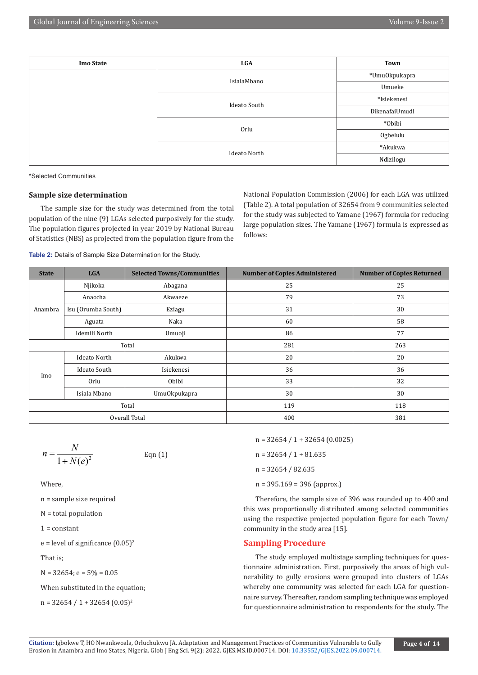| <b>Imo State</b> | <b>LGA</b>          | Town           |
|------------------|---------------------|----------------|
|                  | IsialaMbano         | *Umu0kpukapra  |
|                  |                     | Umueke         |
|                  |                     | *Isiekenesi    |
|                  | <b>Ideato South</b> | DikenafaiUmudi |
|                  |                     | *Obibi         |
|                  | Orlu                | Ogbelulu       |
|                  |                     | *Akukwa        |
|                  | <b>Ideato North</b> | Ndizilogu      |

\*Selected Communities

# **Sample size determination**

The sample size for the study was determined from the total population of the nine (9) LGAs selected purposively for the study. The population figures projected in year 2019 by National Bureau of Statistics (NBS) as projected from the population figure from the National Population Commission (2006) for each LGA was utilized (Table 2). A total population of 32654 from 9 communities selected for the study was subjected to Yamane (1967) formula for reducing large population sizes. The Yamane (1967) formula is expressed as follows:

**Table 2:** Details of Sample Size Determination for the Study.

| <b>State</b>   | <b>LGA</b>         | <b>Selected Towns/Communities</b> | <b>Number of Copies Administered</b>   | <b>Number of Copies Returned</b> |
|----------------|--------------------|-----------------------------------|----------------------------------------|----------------------------------|
|                | Njikoka            | Abagana                           | 25                                     | 25                               |
| Anambra<br>Imo | Anaocha            | Akwaeze                           | 79                                     | 73                               |
|                | Isu (Orumba South) | Eziagu                            | 31                                     | 30                               |
|                | Aguata             | Naka                              | 60                                     | 58                               |
|                | Idemili North      | Umuoji                            | 86                                     | 77                               |
|                |                    | Total                             | 281                                    | 263                              |
|                | Ideato North       | Akukwa                            | 20                                     | 20                               |
|                | Ideato South       | Isiekenesi                        | 36                                     | 36                               |
|                | Orlu               | Obibi                             | 33<br>30<br>Umu0kpukapra<br>119<br>400 | 32                               |
|                | Isiala Mbano       |                                   |                                        | 30                               |
|                |                    | Total                             |                                        | 118                              |
|                |                    | Overall Total                     |                                        | 381                              |

$$
n = \frac{N}{1 + N(e)^2}
$$
 Eqn (1)

Where,

n = sample size required

N = total population

 $1 = constant$ 

 $e = level of significance (0.05)^2$ 

That is;

 $N = 32654$ ; e =  $5% = 0.05$ 

When substituted in the equation;

 $n = 32654 / 1 + 32654 (0.05)^2$ 

n = 32654 / 1 + 32654 (0.0025)

 $n = 32654 / 1 + 81.635$ 

n = 32654 / 82.635

 $n = 395.169 = 396$  (approx.)

Therefore, the sample size of 396 was rounded up to 400 and this was proportionally distributed among selected communities using the respective projected population figure for each Town/ community in the study area [15].

#### **Sampling Procedure**

The study employed multistage sampling techniques for questionnaire administration. First, purposively the areas of high vulnerability to gully erosions were grouped into clusters of LGAs whereby one community was selected for each LGA for questionnaire survey. Thereafter, random sampling technique was employed for questionnaire administration to respondents for the study. The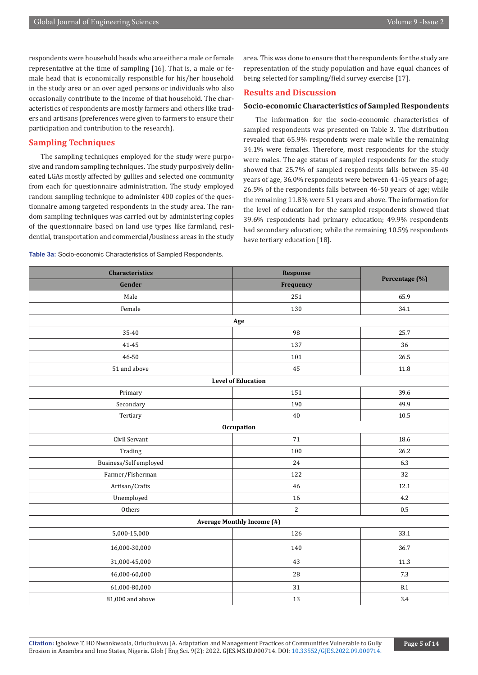respondents were household heads who are either a male or female representative at the time of sampling [16]. That is, a male or female head that is economically responsible for his/her household in the study area or an over aged persons or individuals who also occasionally contribute to the income of that household. The characteristics of respondents are mostly farmers and others like traders and artisans (preferences were given to farmers to ensure their participation and contribution to the research).

# **Sampling Techniques**

The sampling techniques employed for the study were purposive and random sampling techniques. The study purposively delineated LGAs mostly affected by gullies and selected one community from each for questionnaire administration. The study employed random sampling technique to administer 400 copies of the questionnaire among targeted respondents in the study area. The random sampling techniques was carried out by administering copies of the questionnaire based on land use types like farmland, residential, transportation and commercial/business areas in the study

**Table 3a:** Socio-economic Characteristics of Sampled Respondents.

area. This was done to ensure that the respondents for the study are representation of the study population and have equal chances of being selected for sampling/field survey exercise [17].

# **Results and Discussion**

#### **Socio-economic Characteristics of Sampled Respondents**

The information for the socio-economic characteristics of sampled respondents was presented on Table 3. The distribution revealed that 65.9% respondents were male while the remaining 34.1% were females. Therefore, most respondents for the study were males. The age status of sampled respondents for the study showed that 25.7% of sampled respondents falls between 35-40 years of age, 36.0% respondents were between 41-45 years of age; 26.5% of the respondents falls between 46-50 years of age; while the remaining 11.8% were 51 years and above. The information for the level of education for the sampled respondents showed that 39.6% respondents had primary education; 49.9% respondents had secondary education; while the remaining 10.5% respondents have tertiary education [18].

| <b>Characteristics</b> | Response                          | Percentage (%) |
|------------------------|-----------------------------------|----------------|
| Gender                 | Frequency                         |                |
| Male                   | 251                               | 65.9           |
| Female                 | 130                               | 34.1           |
|                        | Age                               |                |
| 35-40                  | 98                                | 25.7           |
| 41-45                  | 137                               | 36             |
| 46-50                  | 101                               | 26.5           |
| 51 and above           | 45                                | 11.8           |
|                        | <b>Level of Education</b>         |                |
| Primary                | 151                               | 39.6           |
| Secondary              | 190                               | 49.9           |
| Tertiary               | 40                                | 10.5           |
|                        | Occupation                        |                |
| Civil Servant          | 71                                | 18.6           |
| Trading                | 100                               | 26.2           |
| Business/Self employed | 24                                | 6.3            |
| Farmer/Fisherman       | 122                               | 32             |
| Artisan/Crafts         | 46                                | 12.1           |
| Unemployed             | 16                                | 4.2            |
| Others                 | $\overline{2}$                    | 0.5            |
|                        | <b>Average Monthly Income (#)</b> |                |
| 5,000-15,000           | 126                               | 33.1           |
| 16,000-30,000          | 140                               | 36.7           |
| 31,000-45,000          | 43                                | 11.3           |
| 46,000-60,000          | $28\,$                            | 7.3            |
| 61,000-80,000          | 31                                | $\ \, 8.1$     |
| 81,000 and above       | 13                                | 3.4            |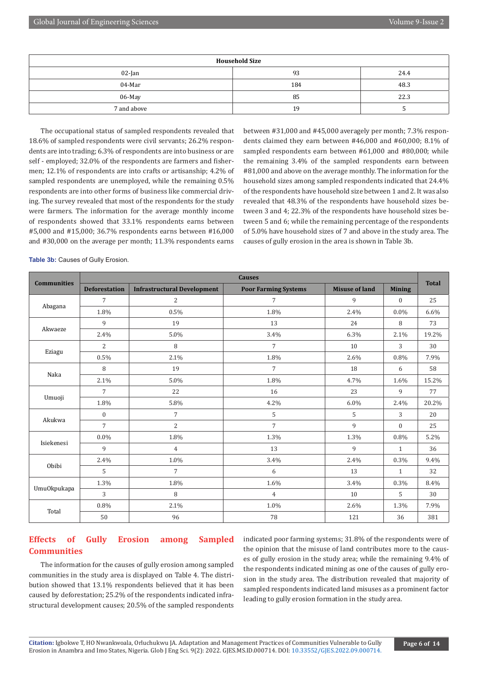| <b>Household Size</b> |     |      |  |  |  |  |
|-----------------------|-----|------|--|--|--|--|
| $02$ -Jan             | 93  | 24.4 |  |  |  |  |
| 04-Mar                | 184 | 48.3 |  |  |  |  |
| 06-May                | 85  | 22.3 |  |  |  |  |
| 7 and above           | 19  |      |  |  |  |  |

The occupational status of sampled respondents revealed that 18.6% of sampled respondents were civil servants; 26.2% respondents are into trading; 6.3% of respondents are into business or are self - employed; 32.0% of the respondents are farmers and fishermen; 12.1% of respondents are into crafts or artisanship; 4.2% of sampled respondents are unemployed, while the remaining 0.5% respondents are into other forms of business like commercial driving. The survey revealed that most of the respondents for the study were farmers. The information for the average monthly income of respondents showed that 33.1% respondents earns between #5,000 and #15,000; 36.7% respondents earns between #16,000 and #30,000 on the average per month; 11.3% respondents earns

between #31,000 and #45,000 averagely per month; 7.3% respondents claimed they earn between #46,000 and #60,000; 8.1% of sampled respondents earn between #61,000 and #80,000; while the remaining 3.4% of the sampled respondents earn between #81,000 and above on the average monthly. The information for the household sizes among sampled respondents indicated that 24.4% of the respondents have household size between 1 and 2. It was also revealed that 48.3% of the respondents have household sizes between 3 and 4; 22.3% of the respondents have household sizes between 5 and 6; while the remaining percentage of the respondents of 5.0% have household sizes of 7 and above in the study area. The causes of gully erosion in the area is shown in Table 3b.

|                                                                                                                                                                                                                    | <b>Causes</b>                                              |                                                                                                                                                                                                                  |                                                                                                                                                                            |                       |               |              |
|--------------------------------------------------------------------------------------------------------------------------------------------------------------------------------------------------------------------|------------------------------------------------------------|------------------------------------------------------------------------------------------------------------------------------------------------------------------------------------------------------------------|----------------------------------------------------------------------------------------------------------------------------------------------------------------------------|-----------------------|---------------|--------------|
|                                                                                                                                                                                                                    | <b>Deforestation</b><br><b>Infrastructural Development</b> |                                                                                                                                                                                                                  | <b>Poor Farming Systems</b>                                                                                                                                                | <b>Misuse of land</b> | <b>Mining</b> | <b>Total</b> |
|                                                                                                                                                                                                                    | 7                                                          | 2                                                                                                                                                                                                                | 7                                                                                                                                                                          | 9                     | $\mathbf{0}$  | 25           |
|                                                                                                                                                                                                                    | 1.8%                                                       | 0.5%                                                                                                                                                                                                             | 1.8%                                                                                                                                                                       | 2.4%                  | 0.0%          | 6.6%         |
|                                                                                                                                                                                                                    | 9                                                          | 19                                                                                                                                                                                                               | 13                                                                                                                                                                         | 24                    | 8             | 73           |
|                                                                                                                                                                                                                    | 2.4%                                                       | 5.0%                                                                                                                                                                                                             | 3.4%                                                                                                                                                                       | 6.3%                  | 2.1%          | 19.2%        |
|                                                                                                                                                                                                                    | $\overline{2}$                                             | 8                                                                                                                                                                                                                | $\overline{7}$                                                                                                                                                             | 10                    | 3             | 30           |
|                                                                                                                                                                                                                    | 0.5%                                                       | 2.1%                                                                                                                                                                                                             | 1.8%                                                                                                                                                                       | 2.6%                  | 0.8%          | 7.9%         |
| 8<br>Naka<br>2.1%                                                                                                                                                                                                  |                                                            | 19                                                                                                                                                                                                               | $\overline{7}$                                                                                                                                                             | 18                    | 6             | 58           |
|                                                                                                                                                                                                                    |                                                            | 1.8%<br>5.0%<br>4.7%<br>1.6%<br>22<br>16<br>23<br>9<br>5.8%<br>4.2%<br>$6.0\%$<br>2.4%<br>$\overline{7}$<br>5<br>3<br>5<br>$\overline{7}$<br>$\overline{2}$<br>9<br>$\mathbf{0}$<br>1.8%<br>1.3%<br>1.3%<br>0.8% | 15.2%                                                                                                                                                                      |                       |               |              |
|                                                                                                                                                                                                                    | 7                                                          |                                                                                                                                                                                                                  |                                                                                                                                                                            |                       |               | 77           |
|                                                                                                                                                                                                                    | 1.8%                                                       |                                                                                                                                                                                                                  | 9<br>13<br>$\mathbf{1}$<br>3.4%<br>2.4%<br>0.3%<br>13<br>6<br>$\mathbf{1}$<br>1.6%<br>3.4%<br>0.3%<br>5<br>10<br>$\overline{4}$<br>1.0%<br>2.6%<br>1.3%<br>78<br>121<br>36 | 20.2%                 |               |              |
|                                                                                                                                                                                                                    | $\mathbf{0}$                                               |                                                                                                                                                                                                                  |                                                                                                                                                                            |                       |               | 20           |
|                                                                                                                                                                                                                    | 7                                                          |                                                                                                                                                                                                                  |                                                                                                                                                                            |                       |               | 25           |
|                                                                                                                                                                                                                    | $0.0\%$                                                    |                                                                                                                                                                                                                  |                                                                                                                                                                            |                       |               | 5.2%         |
|                                                                                                                                                                                                                    | 9                                                          | $\overline{4}$                                                                                                                                                                                                   |                                                                                                                                                                            |                       |               | 36           |
| <b>Communities</b><br>Abagana<br>Akwaeze<br>Eziagu<br>Umuoji<br>Akukwa<br>Isiekenesi<br>1.0%<br>2.4%<br>Obibi<br>5<br>$\overline{7}$<br>1.3%<br>1.8%<br>Umu0kpukapa<br>3<br>8<br>0.8%<br>2.1%<br>Total<br>96<br>50 |                                                            |                                                                                                                                                                                                                  |                                                                                                                                                                            | 9.4%                  |               |              |
|                                                                                                                                                                                                                    |                                                            |                                                                                                                                                                                                                  |                                                                                                                                                                            | 32                    |               |              |
|                                                                                                                                                                                                                    |                                                            |                                                                                                                                                                                                                  |                                                                                                                                                                            | 8.4%                  |               |              |
|                                                                                                                                                                                                                    |                                                            |                                                                                                                                                                                                                  |                                                                                                                                                                            |                       |               | 30           |
|                                                                                                                                                                                                                    |                                                            |                                                                                                                                                                                                                  |                                                                                                                                                                            |                       |               | 7.9%         |
|                                                                                                                                                                                                                    |                                                            |                                                                                                                                                                                                                  |                                                                                                                                                                            |                       |               | 381          |

**Table 3b:** Causes of Gully Erosion.

# **Effects of Gully Erosion among Sampled Communities**

The information for the causes of gully erosion among sampled communities in the study area is displayed on Table 4. The distribution showed that 13.1% respondents believed that it has been caused by deforestation; 25.2% of the respondents indicated infrastructural development causes; 20.5% of the sampled respondents indicated poor farming systems; 31.8% of the respondents were of the opinion that the misuse of land contributes more to the causes of gully erosion in the study area; while the remaining 9.4% of the respondents indicated mining as one of the causes of gully erosion in the study area. The distribution revealed that majority of sampled respondents indicated land misuses as a prominent factor leading to gully erosion formation in the study area.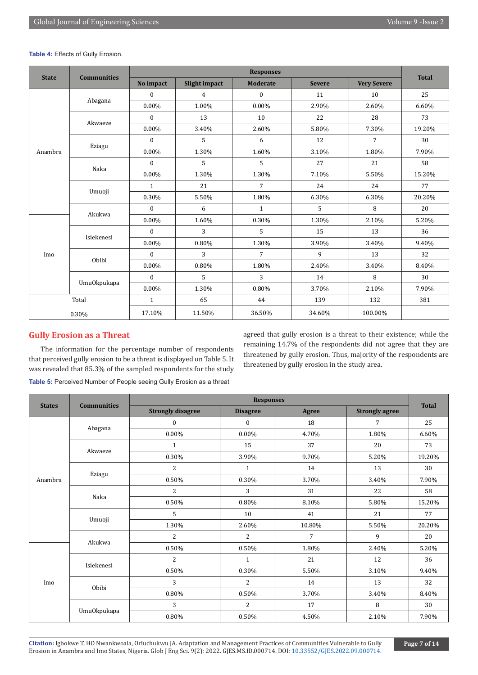|                                                                                                                                                                                                                                                    |        | <b>Responses</b> |                |                 |               |                                                                          |              |  |
|----------------------------------------------------------------------------------------------------------------------------------------------------------------------------------------------------------------------------------------------------|--------|------------------|----------------|-----------------|---------------|--------------------------------------------------------------------------|--------------|--|
| <b>State</b><br>Anambra<br>Imo                                                                                                                                                                                                                     |        | No impact        | Slight impact  | <b>Moderate</b> | <b>Severe</b> | <b>Very Severe</b>                                                       | <b>Total</b> |  |
|                                                                                                                                                                                                                                                    |        | $\mathbf{0}$     | $\overline{4}$ | $\mathbf{0}$    | 11            | 10                                                                       | 25           |  |
|                                                                                                                                                                                                                                                    |        | 0.00%            | 1.00%          | $0.00\%$        | 2.90%         | 2.60%                                                                    | 6.60%        |  |
|                                                                                                                                                                                                                                                    |        | $\mathbf{0}$     | 13             | 10              | 22            | 28                                                                       | 73           |  |
|                                                                                                                                                                                                                                                    |        | 0.00%            | 3.40%          | 2.60%           | 5.80%         | 7.30%                                                                    | 19.20%       |  |
|                                                                                                                                                                                                                                                    |        | $\mathbf{0}$     | 5              | 6               | 12            | 7                                                                        | 30           |  |
|                                                                                                                                                                                                                                                    |        | $0.00\%$         | 1.30%          | 1.60%           | 3.10%         | 1.80%                                                                    | 7.90%        |  |
|                                                                                                                                                                                                                                                    | Naka   | $\mathbf{0}$     | 5              | 5               | 27            | 21                                                                       | 58           |  |
|                                                                                                                                                                                                                                                    |        | $0.00\%$         | 1.30%          | 1.30%           | 7.10%         | 5.50%                                                                    | 15.20%       |  |
|                                                                                                                                                                                                                                                    | Umuoji | $\mathbf{1}$     | 21             | $\overline{7}$  | 24            | 24                                                                       | 77           |  |
|                                                                                                                                                                                                                                                    |        | 0.30%            | 5.50%          | 1.80%           | 6.30%         | 6.30%                                                                    | 20.20%       |  |
|                                                                                                                                                                                                                                                    |        | $\mathbf{0}$     | 6              | $\mathbf{1}$    | 5             | 8<br>2.10%<br>13<br>3.40%<br>13<br>3.40%<br>8<br>2.10%<br>132<br>100.00% | 20           |  |
|                                                                                                                                                                                                                                                    |        | 0.00%            | 1.60%          | 0.30%           | 1.30%         |                                                                          | 5.20%        |  |
| <b>Communities</b><br>Abagana<br>Akwaeze<br>Eziagu<br>Akukwa<br>3<br>$\mathbf{0}$<br>Isiekenesi<br>$0.00\%$<br>3<br>$\boldsymbol{0}$<br>Obibi<br>0.00%<br>5<br>$\mathbf{0}$<br>Umu0kpukapa<br>$0.00\%$<br>$\mathbf{1}$<br>Total<br>17.10%<br>0.30% |        | 5                | 15             |                 | 36            |                                                                          |              |  |
|                                                                                                                                                                                                                                                    |        |                  | 0.80%          | 1.30%           | 3.90%         |                                                                          | 9.40%        |  |
|                                                                                                                                                                                                                                                    |        |                  |                | $\overline{7}$  | 9             |                                                                          | 32           |  |
|                                                                                                                                                                                                                                                    |        |                  | 0.80%          | 1.80%           | 2.40%         |                                                                          | 8.40%        |  |
|                                                                                                                                                                                                                                                    |        |                  |                | 3               | 14            |                                                                          | 30           |  |
|                                                                                                                                                                                                                                                    |        |                  | 1.30%          | 0.80%           | 3.70%         |                                                                          | 7.90%        |  |
|                                                                                                                                                                                                                                                    |        |                  | 65             | 44              | 139           |                                                                          | 381          |  |
|                                                                                                                                                                                                                                                    |        |                  | 11.50%         | 36.50%          | 34.60%        |                                                                          |              |  |

#### **Table 4:** Effects of Gully Erosion.

# **Gully Erosion as a Threat**

The information for the percentage number of respondents that perceived gully erosion to be a threat is displayed on Table 5. It was revealed that 85.3% of the sampled respondents for the study **Table 5:** Perceived Number of People seeing Gully Erosion as a threat

agreed that gully erosion is a threat to their existence; while the remaining 14.7% of the respondents did not agree that they are threatened by gully erosion. Thus, majority of the respondents are threatened by gully erosion in the study area.

| <b>States</b>                                                                                              | <b>Responses</b>                                                                                                        |                 |                                                                                                                                                                                                           |                                                                                                                                                                                                                                                   |        |  |
|------------------------------------------------------------------------------------------------------------|-------------------------------------------------------------------------------------------------------------------------|-----------------|-----------------------------------------------------------------------------------------------------------------------------------------------------------------------------------------------------------|---------------------------------------------------------------------------------------------------------------------------------------------------------------------------------------------------------------------------------------------------|--------|--|
|                                                                                                            | <b>Strongly disagree</b>                                                                                                | <b>Disagree</b> | Agree                                                                                                                                                                                                     | <b>Strongly agree</b>                                                                                                                                                                                                                             |        |  |
|                                                                                                            | $\mathbf{0}$                                                                                                            | $\mathbf{0}$    | 18                                                                                                                                                                                                        | $\overline{7}$                                                                                                                                                                                                                                    | 25     |  |
|                                                                                                            | $0.00\%$                                                                                                                | $0.00\%$        | 4.70%                                                                                                                                                                                                     | 1.80%                                                                                                                                                                                                                                             | 6.60%  |  |
|                                                                                                            | $\mathbf{1}$                                                                                                            | 15              | 37                                                                                                                                                                                                        | 20<br>9.70%<br>5.20%<br>13<br>14<br>3.70%<br>3.40%<br>31<br>22<br>8.10%<br>5.80%<br>21<br>41<br>10.80%<br>5.50%<br>$\overline{7}$<br>9<br>1.80%<br>2.40%<br>21<br>12<br>5.50%<br>3.10%<br>14<br>13<br>3.70%<br>3.40%<br>8<br>17<br>2.10%<br>4.50% | 73     |  |
|                                                                                                            | 0.30%                                                                                                                   | 3.90%           | <b>Total</b><br>30<br>$\mathbf{1}$<br>0.30%<br>3<br>58<br>0.80%<br>10<br>77<br>2.60%<br>$\overline{2}$<br>20<br>0.50%<br>36<br>$\mathbf{1}$<br>0.30%<br>$\overline{2}$<br>32<br>0.50%<br>2<br>30<br>0.50% | 19.20%                                                                                                                                                                                                                                            |        |  |
|                                                                                                            | $\overline{2}$                                                                                                          |                 |                                                                                                                                                                                                           |                                                                                                                                                                                                                                                   |        |  |
| Anambra                                                                                                    | 0.50%                                                                                                                   |                 |                                                                                                                                                                                                           | 7.90%                                                                                                                                                                                                                                             |        |  |
|                                                                                                            | $\overline{2}$<br>0.50%<br>5<br>1.30%<br>$\overline{c}$<br>0.50%<br>$\overline{2}$<br>0.50%<br>3<br>0.80%<br>3<br>0.80% |                 |                                                                                                                                                                                                           |                                                                                                                                                                                                                                                   |        |  |
|                                                                                                            |                                                                                                                         |                 |                                                                                                                                                                                                           | 15.20%                                                                                                                                                                                                                                            |        |  |
|                                                                                                            |                                                                                                                         |                 |                                                                                                                                                                                                           |                                                                                                                                                                                                                                                   |        |  |
|                                                                                                            |                                                                                                                         |                 |                                                                                                                                                                                                           |                                                                                                                                                                                                                                                   | 20.20% |  |
|                                                                                                            |                                                                                                                         |                 |                                                                                                                                                                                                           |                                                                                                                                                                                                                                                   |        |  |
|                                                                                                            |                                                                                                                         |                 |                                                                                                                                                                                                           |                                                                                                                                                                                                                                                   | 5.20%  |  |
|                                                                                                            |                                                                                                                         |                 |                                                                                                                                                                                                           |                                                                                                                                                                                                                                                   |        |  |
|                                                                                                            | Naka<br>Obibi                                                                                                           | 9.40%           |                                                                                                                                                                                                           |                                                                                                                                                                                                                                                   |        |  |
| <b>Communities</b><br>Abagana<br>Akwaeze<br>Eziagu<br>Umuoji<br>Akukwa<br>Isiekenesi<br>Imo<br>Umu0kpukapa |                                                                                                                         |                 |                                                                                                                                                                                                           |                                                                                                                                                                                                                                                   |        |  |
|                                                                                                            |                                                                                                                         |                 |                                                                                                                                                                                                           |                                                                                                                                                                                                                                                   | 8.40%  |  |
|                                                                                                            |                                                                                                                         |                 |                                                                                                                                                                                                           |                                                                                                                                                                                                                                                   |        |  |
|                                                                                                            |                                                                                                                         |                 |                                                                                                                                                                                                           |                                                                                                                                                                                                                                                   | 7.90%  |  |

**Citation:** Igbokwe T, HO Nwankwoala, Orluchukwu JA. Adaptation and Management Practices of Communities Vulnerable to Gully Erosion in Anambra and Imo States, Nigeria. Glob J Eng Sci. 9(2): 2022. GJES.MS.ID.000714. DOI: [10.33552/GJES.2022.09.000714](http://dx.doi.org/10.33552/GJES.2022.09.000714).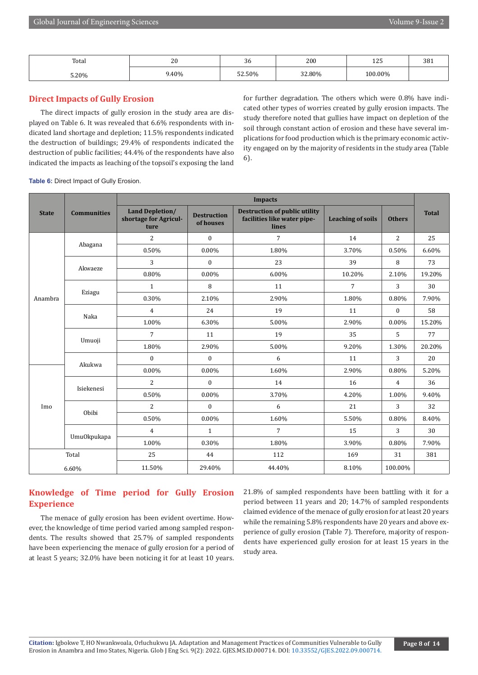| Total | $\Omega$<br>ΔU | $\sim$<br>36 | 200 | $\sim$ $\sim$<br>ᅶᄼ | 381 |
|-------|----------------|--------------|-----|---------------------|-----|
| 5.20% | 40%            | 2.50%،       | 80% | $00.00\%$           |     |

# **Direct Impacts of Gully Erosion**

The direct impacts of gully erosion in the study area are displayed on Table 6. It was revealed that 6.6% respondents with indicated land shortage and depletion; 11.5% respondents indicated the destruction of buildings; 29.4% of respondents indicated the destruction of public facilities; 44.4% of the respondents have also indicated the impacts as leaching of the topsoil's exposing the land

for further degradation. The others which were 0.8% have indicated other types of worries created by gully erosion impacts. The study therefore noted that gullies have impact on depletion of the soil through constant action of erosion and these have several implications for food production which is the primary economic activity engaged on by the majority of residents in the study area (Table 6).

**Table 6: Direct Impact of Gully Erosion.** 

|                |                                                                                                                                                                                                                                                                                                                                                                                                                                                                                                                                                                                                                                                                                                                                                                                                                                                                                                                                                                                                                                                                                                                                      | <b>Impacts</b> |              |        |       |                |        |
|----------------|--------------------------------------------------------------------------------------------------------------------------------------------------------------------------------------------------------------------------------------------------------------------------------------------------------------------------------------------------------------------------------------------------------------------------------------------------------------------------------------------------------------------------------------------------------------------------------------------------------------------------------------------------------------------------------------------------------------------------------------------------------------------------------------------------------------------------------------------------------------------------------------------------------------------------------------------------------------------------------------------------------------------------------------------------------------------------------------------------------------------------------------|----------------|--------------|--------|-------|----------------|--------|
| <b>State</b>   | <b>Land Depletion/</b><br><b>Destruction of public utility</b><br><b>Communities</b><br><b>Destruction</b><br>shortage for Agricul-<br>facilities like water pipe-<br><b>Leaching of soils</b><br>of houses<br>lines<br>ture<br>$\overline{7}$<br>$\overline{2}$<br>$\boldsymbol{0}$<br>14<br>Abagana<br>0.50%<br>0.00%<br>1.80%<br>3.70%<br>3<br>23<br>39<br>$\boldsymbol{0}$<br>Akwaeze<br>0.80%<br>0.00%<br>6.00%<br>10.20%<br>8<br>11<br>$\overline{7}$<br>$\mathbf{1}$<br>Eziagu<br>0.30%<br>2.10%<br>2.90%<br>1.80%<br>19<br>$\overline{4}$<br>24<br>11<br>Naka<br>1.00%<br>6.30%<br>5.00%<br>2.90%<br>$\overline{7}$<br>19<br>35<br>11<br>Umuoji<br>1.80%<br>5.00%<br>2.90%<br>9.20%<br>$\boldsymbol{0}$<br>$\mathbf{0}$<br>6<br>11<br>Akukwa<br>0.00%<br>0.00%<br>1.60%<br>2.90%<br>$\overline{2}$<br>$\Omega$<br>14<br>16<br>Isiekenesi<br>0.50%<br>$0.00\%$<br>3.70%<br>4.20%<br>$\overline{2}$<br>$\mathbf{0}$<br>21<br>6<br>Obibi<br>0.50%<br>$0.00\%$<br>1.60%<br>5.50%<br>$\overline{7}$<br>$\overline{4}$<br>$\mathbf{1}$<br>15<br>Umu0kpukapa<br>1.00%<br>1.80%<br>0.30%<br>3.90%<br>Total<br>25<br>44<br>112<br>169 | <b>Others</b>  | <b>Total</b> |        |       |                |        |
|                |                                                                                                                                                                                                                                                                                                                                                                                                                                                                                                                                                                                                                                                                                                                                                                                                                                                                                                                                                                                                                                                                                                                                      |                |              |        |       | 2              | 25     |
|                |                                                                                                                                                                                                                                                                                                                                                                                                                                                                                                                                                                                                                                                                                                                                                                                                                                                                                                                                                                                                                                                                                                                                      |                |              |        |       | 0.50%          | 6.60%  |
|                |                                                                                                                                                                                                                                                                                                                                                                                                                                                                                                                                                                                                                                                                                                                                                                                                                                                                                                                                                                                                                                                                                                                                      |                |              |        |       | 8              | 73     |
|                |                                                                                                                                                                                                                                                                                                                                                                                                                                                                                                                                                                                                                                                                                                                                                                                                                                                                                                                                                                                                                                                                                                                                      |                |              |        |       | 2.10%          | 19.20% |
|                |                                                                                                                                                                                                                                                                                                                                                                                                                                                                                                                                                                                                                                                                                                                                                                                                                                                                                                                                                                                                                                                                                                                                      |                |              |        |       | 3              | 30     |
| Anambra<br>Imo |                                                                                                                                                                                                                                                                                                                                                                                                                                                                                                                                                                                                                                                                                                                                                                                                                                                                                                                                                                                                                                                                                                                                      |                |              |        |       | 0.80%          | 7.90%  |
|                |                                                                                                                                                                                                                                                                                                                                                                                                                                                                                                                                                                                                                                                                                                                                                                                                                                                                                                                                                                                                                                                                                                                                      |                |              |        |       | $\mathbf{0}$   | 58     |
|                |                                                                                                                                                                                                                                                                                                                                                                                                                                                                                                                                                                                                                                                                                                                                                                                                                                                                                                                                                                                                                                                                                                                                      |                |              |        |       | 0.00%          | 15.20% |
|                |                                                                                                                                                                                                                                                                                                                                                                                                                                                                                                                                                                                                                                                                                                                                                                                                                                                                                                                                                                                                                                                                                                                                      |                |              |        |       | 5              | 77     |
|                |                                                                                                                                                                                                                                                                                                                                                                                                                                                                                                                                                                                                                                                                                                                                                                                                                                                                                                                                                                                                                                                                                                                                      |                |              |        |       | 1.30%          | 20.20% |
|                |                                                                                                                                                                                                                                                                                                                                                                                                                                                                                                                                                                                                                                                                                                                                                                                                                                                                                                                                                                                                                                                                                                                                      |                |              |        |       | 3              | 20     |
|                |                                                                                                                                                                                                                                                                                                                                                                                                                                                                                                                                                                                                                                                                                                                                                                                                                                                                                                                                                                                                                                                                                                                                      |                |              |        |       | 0.80%          | 5.20%  |
|                |                                                                                                                                                                                                                                                                                                                                                                                                                                                                                                                                                                                                                                                                                                                                                                                                                                                                                                                                                                                                                                                                                                                                      |                |              |        |       | $\overline{4}$ | 36     |
|                |                                                                                                                                                                                                                                                                                                                                                                                                                                                                                                                                                                                                                                                                                                                                                                                                                                                                                                                                                                                                                                                                                                                                      |                |              |        |       | 1.00%          | 9.40%  |
|                |                                                                                                                                                                                                                                                                                                                                                                                                                                                                                                                                                                                                                                                                                                                                                                                                                                                                                                                                                                                                                                                                                                                                      |                |              |        |       | 3              | 32     |
|                |                                                                                                                                                                                                                                                                                                                                                                                                                                                                                                                                                                                                                                                                                                                                                                                                                                                                                                                                                                                                                                                                                                                                      |                |              |        |       | 0.80%          | 8.40%  |
|                |                                                                                                                                                                                                                                                                                                                                                                                                                                                                                                                                                                                                                                                                                                                                                                                                                                                                                                                                                                                                                                                                                                                                      |                |              |        |       | 3              | 30     |
|                |                                                                                                                                                                                                                                                                                                                                                                                                                                                                                                                                                                                                                                                                                                                                                                                                                                                                                                                                                                                                                                                                                                                                      |                |              |        |       | 0.80%          | 7.90%  |
|                |                                                                                                                                                                                                                                                                                                                                                                                                                                                                                                                                                                                                                                                                                                                                                                                                                                                                                                                                                                                                                                                                                                                                      |                |              |        |       | 31             | 381    |
|                | 6.60%                                                                                                                                                                                                                                                                                                                                                                                                                                                                                                                                                                                                                                                                                                                                                                                                                                                                                                                                                                                                                                                                                                                                | 11.50%         | 29.40%       | 44.40% | 8.10% | 100.00%        |        |

# **Knowledge of Time period for Gully Erosion Experience**

The menace of gully erosion has been evident overtime. However, the knowledge of time period varied among sampled respondents. The results showed that 25.7% of sampled respondents have been experiencing the menace of gully erosion for a period of at least 5 years; 32.0% have been noticing it for at least 10 years.

21.8% of sampled respondents have been battling with it for a period between 11 years and 20; 14.7% of sampled respondents claimed evidence of the menace of gully erosion for at least 20 years while the remaining 5.8% respondents have 20 years and above experience of gully erosion (Table 7). Therefore, majority of respondents have experienced gully erosion for at least 15 years in the study area.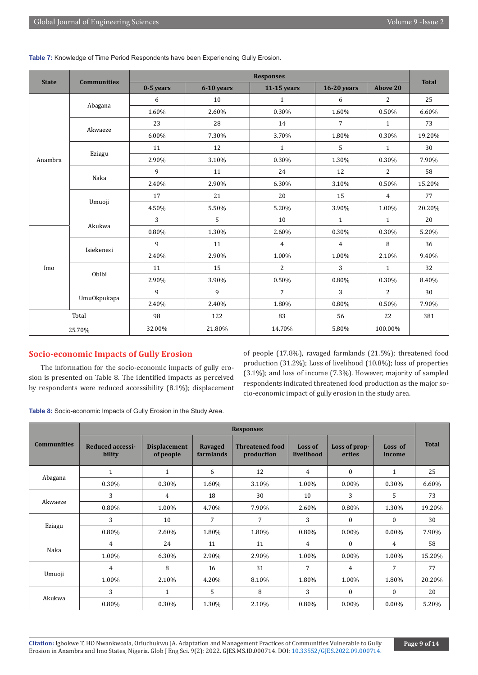|                         | <b>Communities</b> | <b>Responses</b> |            |                |                    |                 |              |
|-------------------------|--------------------|------------------|------------|----------------|--------------------|-----------------|--------------|
|                         |                    | $0-5$ years      | 6-10 years | $11-15$ years  | <b>16-20 years</b> | <b>Above 20</b> | <b>Total</b> |
| <b>State</b><br>Anambra |                    | 6                | 10         | $\mathbf{1}$   | 6                  | 2               | 25           |
|                         | Abagana            | 1.60%            | 2.60%      | 0.30%          | 1.60%              | 0.50%           | 6.60%        |
|                         |                    | 23               | 28         | 14             | $\overline{7}$     | $\mathbf{1}$    | 73           |
|                         | Akwaeze            | 6.00%            | 7.30%      | 3.70%          | 1.80%              | 0.30%           | 19.20%       |
|                         |                    | 11               | 12         | $\mathbf{1}$   | 5                  | $\mathbf{1}$    | 30           |
|                         | Eziagu             | 2.90%            | 3.10%      | 0.30%          | 1.30%              | 0.30%           | 7.90%        |
|                         |                    | 9                | 11         | 24             | 12                 | 2               | 58           |
|                         | Naka               | 2.40%            | 2.90%      | 6.30%          | 3.10%              | 0.50%           | 15.20%       |
|                         | Umuoji             | 17               | 21         | 20             | 15                 | $\overline{4}$  | 77           |
|                         |                    | 4.50%            | 5.50%      | 5.20%          | 3.90%              | 1.00%           | 20.20%       |
|                         |                    | 3                | 5          | 10             | $\mathbf{1}$       | $\mathbf{1}$    | 20           |
| Imo                     | Akukwa             | 0.80%            | 1.30%      | 2.60%          | 0.30%              | 0.30%           | 5.20%        |
|                         |                    | 9                | 11         | 4              | $\overline{4}$     | 8               | 36           |
|                         | Isiekenesi         | 2.40%            | 2.90%      | 1.00%          | 1.00%              | 2.10%           | 9.40%        |
|                         | Obibi              | 11               | 15         | $\overline{2}$ | 3                  | $\mathbf{1}$    | 32           |
|                         |                    | 2.90%            | 3.90%      | 0.50%          | 0.80%              | 0.30%           | 8.40%        |
|                         |                    | 9                | 9          | $\overline{7}$ | 3                  | $\overline{2}$  | 30           |
|                         | Umu0kpukapa        | 2.40%            | 2.40%      | 1.80%          | 0.80%              | 0.50%           | 7.90%        |
|                         | Total              | 98               | 122        | 83             | 56                 | 22              | 381          |
|                         | 25.70%             | 32.00%           | 21.80%     | 14.70%         | 5.80%              | 100.00%         |              |

**Table 7:** Knowledge of Time Period Respondents have been Experiencing Gully Erosion.

# **Socio-economic Impacts of Gully Erosion**

The information for the socio-economic impacts of gully erosion is presented on Table 8. The identified impacts as perceived by respondents were reduced accessibility (8.1%); displacement of people (17.8%), ravaged farmlands (21.5%); threatened food production (31.2%); Loss of livelihood (10.8%); loss of properties (3.1%); and loss of income (7.3%). However, majority of sampled respondents indicated threatened food production as the major socio-economic impact of gully erosion in the study area.

**Table 8:** Socio-economic Impacts of Gully Erosion in the Study Area.

|                    |                            |                                  |                      | <b>Responses</b>                     |                       |                         |                   |              |
|--------------------|----------------------------|----------------------------------|----------------------|--------------------------------------|-----------------------|-------------------------|-------------------|--------------|
| <b>Communities</b> | Reduced accessi-<br>bility | <b>Displacement</b><br>of people | Ravaged<br>farmlands | <b>Threatened food</b><br>production | Loss of<br>livelihood | Loss of prop-<br>erties | Loss of<br>income | <b>Total</b> |
|                    | $\mathbf{1}$               | 1                                | 6                    | 12                                   | 4                     | $\Omega$                | $\mathbf{1}$      | 25           |
| Abagana            | 0.30%                      | 0.30%                            | 1.60%                | 3.10%                                | 1.00%                 | $0.00\%$                | 0.30%             | 6.60%        |
| Akwaeze            | 3                          | 4                                | 18                   | 30                                   | 10                    | 3                       | 5                 | 73           |
|                    | 0.80%                      | 1.00%                            | 4.70%                | 7.90%                                | 2.60%                 | 0.80%                   | 1.30%             | 19.20%       |
|                    | 3                          | 10                               | 7                    | 7                                    | 3                     | $\Omega$                | $\theta$          | 30           |
| Eziagu             | 0.80%                      | 2.60%                            | 1.80%                | 1.80%                                | 0.80%                 | $0.00\%$                | $0.00\%$          | 7.90%        |
|                    | 4                          | 24                               | 11                   | 11                                   | 4                     | $\Omega$                | 4                 | 58           |
| Naka               | 1.00%                      | 6.30%                            | 2.90%                | 2.90%                                | 1.00%                 | $0.00\%$                | 1.00%             | 15.20%       |
|                    | 4                          | 8                                | 16                   | 31                                   | 7                     | 4                       | $\overline{7}$    | 77           |
| Umuoji             | 1.00%                      | 2.10%                            | 4.20%                | 8.10%                                | 1.80%                 | 1.00%                   | 1.80%             | 20.20%       |
|                    | 3                          | $\mathbf{1}$                     | 5                    | 8                                    | 3                     | $\Omega$                | $\theta$          | 20           |
| Akukwa             | 0.80%                      | 0.30%                            | 1.30%                | 2.10%                                | 0.80%                 | $0.00\%$                | $0.00\%$          | 5.20%        |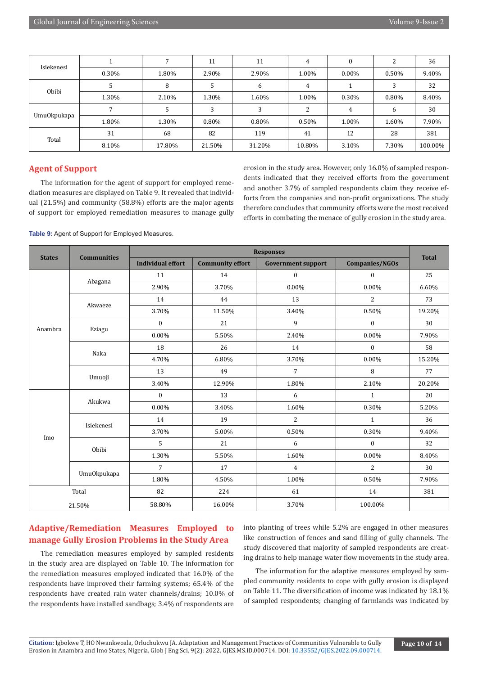| Isiekenesi   |       | $\mathbf{z}$ | 11     | 11       | 4        | 0        |       | 36      |
|--------------|-------|--------------|--------|----------|----------|----------|-------|---------|
|              | 0.30% | 1.80%        | 2.90%  | 2.90%    | 1.00%    | $0.00\%$ | 0.50% | 9.40%   |
| <b>Obibi</b> |       | 8            |        | h        | 4        |          | 3     | 32      |
|              | 1.30% | 2.10%        | 1.30%  | 1.60%    | 1.00%    | 0.30%    | 0.80% | 8.40%   |
|              |       | 5            |        |          | ົ        |          | 6     | 30      |
| Umu0kpukapa  | 1.80% | 1.30%        | 0.80%  | $0.80\%$ | $0.50\%$ | 1.00%    | 1.60% | 7.90%   |
| Total        | 31    | 68           | 82     | 119      | 41       | 12       | 28    | 381     |
|              | 8.10% | 17.80%       | 21.50% | 31.20%   | 10.80%   | 3.10%    | 7.30% | 100.00% |

# **Agent of Support**

The information for the agent of support for employed remediation measures are displayed on Table 9. It revealed that individual (21.5%) and community (58.8%) efforts are the major agents of support for employed remediation measures to manage gully erosion in the study area. However, only 16.0% of sampled respondents indicated that they received efforts from the government and another 3.7% of sampled respondents claim they receive efforts from the companies and non-profit organizations. The study therefore concludes that community efforts were the most received efforts in combating the menace of gully erosion in the study area.

|                                 | <b>Communities</b> |                          |                                                                                                                                        |                           |                       | <b>Total</b> |
|---------------------------------|--------------------|--------------------------|----------------------------------------------------------------------------------------------------------------------------------------|---------------------------|-----------------------|--------------|
|                                 |                    | <b>Individual effort</b> | <b>Community effort</b>                                                                                                                | <b>Government support</b> | <b>Companies/NGOs</b> |              |
|                                 |                    | 11                       | 14                                                                                                                                     | $\bf{0}$                  | $\boldsymbol{0}$      | 25           |
|                                 | Abagana            | 2.90%                    | 3.70%                                                                                                                                  | 0.00%                     | $0.00\%$              | 6.60%        |
|                                 | Akwaeze            | 14                       | 44                                                                                                                                     | 13                        | $\overline{2}$        | 73           |
| <b>States</b><br>Anambra<br>Imo |                    | 3.70%                    | 11.50%                                                                                                                                 | 3.40%                     | 0.50%                 | 19.20%       |
|                                 |                    | $\mathbf{0}$             | 21                                                                                                                                     | 9                         | $\boldsymbol{0}$      | 30           |
|                                 | Eziagu             | 0.00%                    | 5.50%                                                                                                                                  | 2.40%                     | 0.00%                 | 7.90%        |
|                                 | Naka               | 18                       | 26                                                                                                                                     | 14                        | $\bf{0}$              | 58           |
|                                 |                    | 4.70%                    | 6.80%                                                                                                                                  | 3.70%                     | $0.00\%$              | 15.20%       |
|                                 |                    | 13                       | 49                                                                                                                                     | 7                         | 8                     | 77           |
|                                 | Umuoji             | 3.40%                    | 12.90%                                                                                                                                 | 1.80%                     | 2.10%                 | 20.20%       |
|                                 | Akukwa             | $\mathbf{0}$             | 13                                                                                                                                     | 6                         | $\mathbf{1}$          | 20           |
|                                 |                    | 0.00%                    | 3.40%                                                                                                                                  | 1.60%                     | 0.30%                 | 5.20%        |
|                                 | Isiekenesi         | 14                       | 19                                                                                                                                     | $\overline{2}$            | $\mathbf{1}$          | 36           |
|                                 |                    | 3.70%                    | 5.00%                                                                                                                                  | 0.50%                     | 0.30%                 | 9.40%        |
|                                 | Obibi              | 5                        | 21                                                                                                                                     | 6                         | $\mathbf{0}$          | 32           |
|                                 |                    | 1.30%                    | 5.50%                                                                                                                                  | 1.60%                     | $0.00\%$              | 8.40%        |
|                                 |                    | $\overline{7}$           | <b>Responses</b><br>$\overline{2}$<br>17<br>$\overline{4}$<br>1.00%<br>0.50%<br>4.50%<br>224<br>61<br>14<br>16.00%<br>3.70%<br>100.00% | 30                        |                       |              |
|                                 | Umu0kpukapa        | 1.80%                    |                                                                                                                                        |                           |                       | 7.90%        |
|                                 | Total              | 82                       |                                                                                                                                        |                           |                       | 381          |
|                                 | 21.50%             | 58.80%                   |                                                                                                                                        |                           |                       |              |

# **Adaptive/Remediation Measures Employed to manage Gully Erosion Problems in the Study Area**

The remediation measures employed by sampled residents in the study area are displayed on Table 10. The information for the remediation measures employed indicated that 16.0% of the respondents have improved their farming systems; 65.4% of the respondents have created rain water channels/drains; 10.0% of the respondents have installed sandbags; 3.4% of respondents are

into planting of trees while 5.2% are engaged in other measures like construction of fences and sand filling of gully channels. The study discovered that majority of sampled respondents are creating drains to help manage water flow movements in the study area.

The information for the adaptive measures employed by sampled community residents to cope with gully erosion is displayed on Table 11. The diversification of income was indicated by 18.1% of sampled respondents; changing of farmlands was indicated by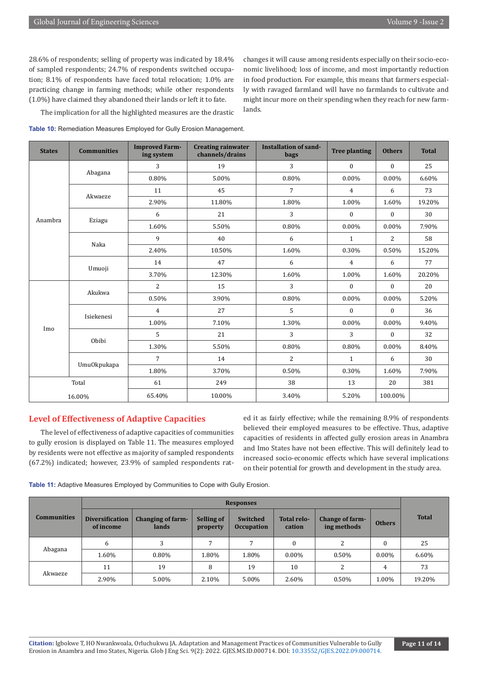28.6% of respondents; selling of property was indicated by 18.4% of sampled respondents; 24.7% of respondents switched occupation; 8.1% of respondents have faced total relocation; 1.0% are practicing change in farming methods; while other respondents (1.0%) have claimed they abandoned their lands or left it to fate.

The implication for all the highlighted measures are the drastic

changes it will cause among residents especially on their socio-economic livelihood; loss of income, and most importantly reduction in food production. For example, this means that farmers especially with ravaged farmland will have no farmlands to cultivate and might incur more on their spending when they reach for new farmlands.

|  | Table 10: Remediation Measures Employed for Gully Erosion Management. |  |  |  |  |  |
|--|-----------------------------------------------------------------------|--|--|--|--|--|
|--|-----------------------------------------------------------------------|--|--|--|--|--|

| <b>States</b>  | <b>Communities</b> | <b>Improved Farm-</b><br>ing system | <b>Creating rainwater</b><br>channels/drains | <b>Installation of sand-</b><br>bags | <b>Tree planting</b> | <b>Others</b>                                                                                             | <b>Total</b> |
|----------------|--------------------|-------------------------------------|----------------------------------------------|--------------------------------------|----------------------|-----------------------------------------------------------------------------------------------------------|--------------|
|                |                    | 3                                   | 19                                           | 3                                    | $\mathbf{0}$         | $\bf{0}$                                                                                                  | 25           |
|                | Abagana            | 0.80%                               | 5.00%                                        | 0.80%                                | $0.00\%$             | $0.00\%$                                                                                                  | 6.60%        |
|                | Akwaeze            | 11                                  | 45                                           | $\overline{7}$                       | 4                    | 6                                                                                                         | 73           |
|                |                    | 2.90%                               | 11.80%                                       | 1.80%                                | 1.00%                | 1.60%                                                                                                     | 19.20%       |
|                |                    | 6                                   | 21                                           | 3                                    | $\overline{0}$       | $\theta$                                                                                                  | 30           |
|                | Eziagu             | 1.60%                               | 5.50%                                        | 0.80%                                | $0.00\%$             | $0.00\%$                                                                                                  | 7.90%        |
|                | Naka               | 9                                   | 40                                           | 6                                    | $\mathbf{1}$         | 2                                                                                                         | 58           |
|                |                    | 2.40%                               | 10.50%                                       | 1.60%                                | 0.30%                | 0.50%                                                                                                     | 15.20%       |
|                |                    | 14                                  | 47                                           | 6                                    | $\overline{4}$       | 6                                                                                                         | 77           |
|                | Umuoji             | 3.70%                               | 12.30%                                       | 1.60%                                | 1.00%                | 1.60%<br>$\bf{0}$<br>0.00%<br>$\Omega$<br>$0.00\%$<br>$\bf{0}$<br>$0.00\%$<br>6<br>1.60%<br>20<br>100.00% | 20.20%       |
|                | Akukwa             | $\overline{2}$                      | 15                                           | 3                                    | $\boldsymbol{0}$     |                                                                                                           | 20           |
|                |                    | 0.50%                               | 3.90%                                        | 0.80%                                | 0.00%                |                                                                                                           | 5.20%        |
|                | Isiekenesi         | $\overline{4}$                      | 27                                           | 5                                    | $\mathbf{0}$         |                                                                                                           | 36           |
|                |                    | 1.00%                               | 7.10%                                        | 1.30%                                | $0.00\%$             |                                                                                                           | 9.40%        |
|                | Obibi              | 5                                   | 21                                           | 3                                    | 3                    |                                                                                                           | 32           |
|                |                    | 1.30%                               | 5.50%                                        | 0.80%                                | 0.80%                |                                                                                                           | 8.40%        |
|                |                    | 7                                   | 14                                           | 2                                    | $\mathbf{1}$         |                                                                                                           | 30           |
| Anambra<br>Imo | Umu0kpukapa        | 1.80%                               | 3.70%                                        | 0.50%                                | 0.30%                |                                                                                                           | 7.90%        |
|                | Total              | 61                                  | 249                                          | 38                                   | 13                   |                                                                                                           | 381          |
|                | 16.00%             | 65.40%                              | 10.00%                                       | 3.40%                                | 5.20%                |                                                                                                           |              |

# **Level of Effectiveness of Adaptive Capacities**

The level of effectiveness of adaptive capacities of communities to gully erosion is displayed on Table 11. The measures employed by residents were not effective as majority of sampled respondents (67.2%) indicated; however, 23.9% of sampled respondents rated it as fairly effective; while the remaining 8.9% of respondents believed their employed measures to be effective. Thus, adaptive capacities of residents in affected gully erosion areas in Anambra and Imo States have not been effective. This will definitely lead to increased socio-economic effects which have several implications on their potential for growth and development in the study area.

**Table 11:** Adaptive Measures Employed by Communities to Cope with Gully Erosion.

|                    |                                     | <b>Responses</b>           |                               |                               |                              |                                |               |              |  |  |
|--------------------|-------------------------------------|----------------------------|-------------------------------|-------------------------------|------------------------------|--------------------------------|---------------|--------------|--|--|
| <b>Communities</b> | <b>Diversification</b><br>of income | Changing of farm-<br>lands | <b>Selling of</b><br>property | Switched<br><b>Occupation</b> | <b>Total relo-</b><br>cation | Change of farm-<br>ing methods | <b>Others</b> | <b>Total</b> |  |  |
|                    | 6                                   | 3                          |                               |                               | 0                            | 2                              | $\Omega$      | 25           |  |  |
| Abagana            | 1.60%                               | $0.80\%$                   | 1.80%                         | 1.80%                         | $0.00\%$                     | 0.50%                          | $0.00\%$      | 6.60%        |  |  |
| Akwaeze            | 11                                  | 19                         | 8                             | 19                            | 10                           | 2                              | 4             | 73           |  |  |
|                    | 2.90%                               | 5.00%                      | 2.10%                         | 5.00%                         | 2.60%                        | $0.50\%$                       | 1.00%         | 19.20%       |  |  |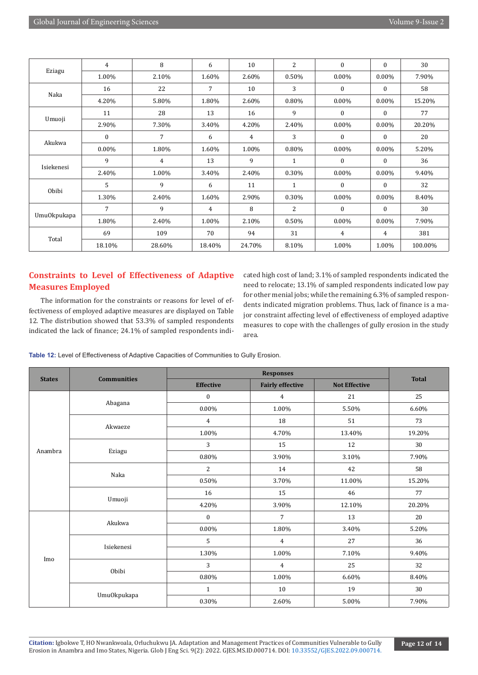| Eziagu      | 4        | 8      | 6              | 10     | 2              | $\mathbf{0}$ | $\mathbf{0}$ | 30      |
|-------------|----------|--------|----------------|--------|----------------|--------------|--------------|---------|
|             | 1.00%    | 2.10%  | 1.60%          | 2.60%  | 0.50%          | $0.00\%$     | 0.00%        | 7.90%   |
|             | 16       | 22     | 7              | 10     | 3              | $\mathbf{0}$ | $\mathbf{0}$ | 58      |
| Naka        | 4.20%    | 5.80%  | 1.80%          | 2.60%  | 0.80%          | $0.00\%$     | $0.00\%$     | 15.20%  |
|             | 11       | 28     | 13             | 16     | 9              | $\mathbf{0}$ | $\mathbf{0}$ | 77      |
| Umuoji      | 2.90%    | 7.30%  | 3.40%          | 4.20%  | 2.40%          | $0.00\%$     | 0.00%        | 20.20%  |
|             | $\Omega$ | 7      | 6              | 4      | 3              | $\Omega$     | $\Omega$     | 20      |
| Akukwa      | 0.00%    | 1.80%  | 1.60%          | 1.00%  | 0.80%          | $0.00\%$     | $0.00\%$     | 5.20%   |
|             | 9        | 4      | 13             | 9      | 1              | $\mathbf{0}$ | $\mathbf{0}$ | 36      |
| Isiekenesi  | 2.40%    | 1.00%  | 3.40%          | 2.40%  | 0.30%          | $0.00\%$     | $0.00\%$     | 9.40%   |
| Obibi       | 5        | 9      | 6              | 11     | 1              | $\mathbf{0}$ | $\mathbf{0}$ | 32      |
|             | 1.30%    | 2.40%  | 1.60%          | 2.90%  | 0.30%          | $0.00\%$     | 0.00%        | 8.40%   |
|             | 7        | 9      | $\overline{4}$ | 8      | $\overline{c}$ | $\Omega$     | $\Omega$     | 30      |
| Umu0kpukapa | 1.80%    | 2.40%  | 1.00%          | 2.10%  | 0.50%          | $0.00\%$     | $0.00\%$     | 7.90%   |
| Total       | 69       | 109    | 70             | 94     | 31             | 4            | 4            | 381     |
|             | 18.10%   | 28.60% | 18.40%         | 24.70% | 8.10%          | 1.00%        | 1.00%        | 100.00% |

# **Constraints to Level of Effectiveness of Adaptive Measures Employed**

The information for the constraints or reasons for level of effectiveness of employed adaptive measures are displayed on Table 12. The distribution showed that 53.3% of sampled respondents indicated the lack of finance; 24.1% of sampled respondents indicated high cost of land; 3.1% of sampled respondents indicated the need to relocate; 13.1% of sampled respondents indicated low pay for other menial jobs; while the remaining 6.3% of sampled respondents indicated migration problems. Thus, lack of finance is a major constraint affecting level of effectiveness of employed adaptive measures to cope with the challenges of gully erosion in the study area.

**Table 12:** Level of Effectiveness of Adaptive Capacities of Communities to Gully Erosion.

|                                 |                                                                                                                      | <b>Effective</b>                                                                                                                                                                                                                                                                                                                                                                                                         | <b>Fairly effective</b> | <b>Not Effective</b> | <b>Total</b> |
|---------------------------------|----------------------------------------------------------------------------------------------------------------------|--------------------------------------------------------------------------------------------------------------------------------------------------------------------------------------------------------------------------------------------------------------------------------------------------------------------------------------------------------------------------------------------------------------------------|-------------------------|----------------------|--------------|
|                                 |                                                                                                                      | $\mathbf{0}$                                                                                                                                                                                                                                                                                                                                                                                                             | 4                       | 21                   | 25           |
| <b>States</b><br>Anambra<br>Imo |                                                                                                                      | $0.00\%$                                                                                                                                                                                                                                                                                                                                                                                                                 | 1.00%                   | 5.50%                | 6.60%        |
|                                 |                                                                                                                      | $\overline{4}$                                                                                                                                                                                                                                                                                                                                                                                                           | 18                      | 51                   | 73           |
|                                 |                                                                                                                      | 1.00%                                                                                                                                                                                                                                                                                                                                                                                                                    | 4.70%                   | 13.40%               | 19.20%       |
|                                 |                                                                                                                      | <b>Responses</b><br>3<br>15<br>12<br>$0.80\%$<br>3.10%<br>3.90%<br>$\overline{2}$<br>42<br>14<br>0.50%<br>11.00%<br>3.70%<br>16<br>15<br>46<br>4.20%<br>3.90%<br>12.10%<br>$\overline{7}$<br>13<br>$\boldsymbol{0}$<br>$0.00\%$<br>1.80%<br>3.40%<br>5<br>27<br>$\overline{4}$<br>1.30%<br>1.00%<br>7.10%<br>3<br>25<br>$\overline{4}$<br>0.80%<br>1.00%<br>6.60%<br>10<br>19<br>$\mathbf{1}$<br>0.30%<br>2.60%<br>5.00% | 30                      |                      |              |
|                                 |                                                                                                                      |                                                                                                                                                                                                                                                                                                                                                                                                                          |                         |                      | 7.90%        |
|                                 |                                                                                                                      |                                                                                                                                                                                                                                                                                                                                                                                                                          |                         |                      | 58           |
|                                 |                                                                                                                      |                                                                                                                                                                                                                                                                                                                                                                                                                          |                         |                      | 15.20%       |
|                                 |                                                                                                                      |                                                                                                                                                                                                                                                                                                                                                                                                                          |                         |                      | 77           |
|                                 |                                                                                                                      |                                                                                                                                                                                                                                                                                                                                                                                                                          |                         |                      | 20.20%       |
|                                 |                                                                                                                      |                                                                                                                                                                                                                                                                                                                                                                                                                          |                         |                      | 20           |
|                                 |                                                                                                                      |                                                                                                                                                                                                                                                                                                                                                                                                                          |                         |                      | 5.20%        |
|                                 | <b>Communities</b><br>Abagana<br>Akwaeze<br>Eziagu<br>Naka<br>Umuoji<br>Akukwa<br>Isiekenesi<br>Obibi<br>Umu0kpukapa |                                                                                                                                                                                                                                                                                                                                                                                                                          |                         | 36                   |              |
|                                 |                                                                                                                      |                                                                                                                                                                                                                                                                                                                                                                                                                          |                         |                      | 9.40%        |
|                                 |                                                                                                                      |                                                                                                                                                                                                                                                                                                                                                                                                                          |                         |                      | 32           |
|                                 |                                                                                                                      |                                                                                                                                                                                                                                                                                                                                                                                                                          |                         |                      | 8.40%        |
|                                 |                                                                                                                      |                                                                                                                                                                                                                                                                                                                                                                                                                          |                         |                      | 30           |
|                                 |                                                                                                                      |                                                                                                                                                                                                                                                                                                                                                                                                                          |                         |                      | 7.90%        |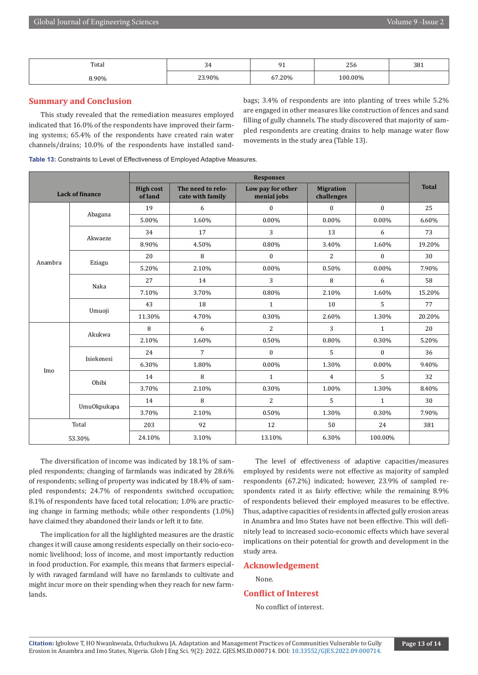| Total | -<br>ັ້ | -<br>- - | $\sim$ $\sim$<br>456 | 381 |
|-------|---------|----------|----------------------|-----|
| 8.90% | 23.90%  | 67.20%   | $00.00\%$            |     |

# **Summary and Conclusion**

This study revealed that the remediation measures employed indicated that 16.0% of the respondents have improved their farming systems; 65.4% of the respondents have created rain water channels/drains; 10.0% of the respondents have installed sandbags; 3.4% of respondents are into planting of trees while 5.2% are engaged in other measures like construction of fences and sand filling of gully channels. The study discovered that majority of sampled respondents are creating drains to help manage water flow movements in the study area (Table 13).

|  | Table 13: Constraints to Level of Effectiveness of Employed Adaptive Measures. |  |
|--|--------------------------------------------------------------------------------|--|
|  |                                                                                |  |

|         |                        | <b>Responses</b>            |                                       |                                  |                                |              |              |  |
|---------|------------------------|-----------------------------|---------------------------------------|----------------------------------|--------------------------------|--------------|--------------|--|
|         | <b>Lack of finance</b> | <b>High cost</b><br>of land | The need to relo-<br>cate with family | Low pay for other<br>menial jobs | <b>Migration</b><br>challenges |              | <b>Total</b> |  |
|         |                        | 19                          | 6                                     | $\overline{0}$                   | $\theta$                       | $\mathbf{0}$ | 25           |  |
|         | Abagana                | 5.00%                       | 1.60%                                 | 0.00%                            | $0.00\%$                       | $0.00\%$     | 6.60%        |  |
|         | Akwaeze                | 34                          | 17                                    | 3                                | 13                             | 6            | 73           |  |
|         |                        | 8.90%                       | 4.50%                                 | 0.80%                            | 3.40%                          | 1.60%        | 19.20%       |  |
| Anambra |                        | 20                          | 8                                     | 0                                | $\overline{2}$                 | $\mathbf{0}$ | 30           |  |
|         | Eziagu                 | 5.20%                       | 2.10%                                 | 0.00%                            | 0.50%                          | 0.00%        | 7.90%        |  |
|         | Naka                   | 27                          | 14                                    | 3                                | 8                              | 6            | 58           |  |
|         |                        | 7.10%                       | 3.70%                                 | 0.80%                            | 2.10%                          | 1.60%        | 15.20%       |  |
|         | Umuoji                 | 43                          | 18                                    | $\mathbf{1}$                     | 10                             | 5            | 77           |  |
|         |                        | 11.30%                      | 4.70%                                 | 0.30%                            | 2.60%                          | 1.30%        | 20.20%       |  |
|         | Akukwa                 | 8                           | 6                                     | $\overline{2}$                   | 3                              | $\mathbf{1}$ | 20           |  |
|         |                        | 2.10%                       | 1.60%                                 | 0.50%                            | 0.80%                          | 0.30%        | 5.20%        |  |
|         |                        | 24                          | $\overline{7}$                        | $\mathbf{0}$                     | 5                              | $\mathbf{0}$ | 36           |  |
|         | Isiekenesi             | 6.30%                       | 1.80%                                 | 0.00%                            | 1.30%                          | 0.00%        | 9.40%        |  |
| Imo     | Obibi                  | 14                          | 8                                     | $\mathbf{1}$                     | $\overline{4}$                 | 5            | 32           |  |
|         |                        | 3.70%                       | 2.10%                                 | 0.30%                            | 1.00%                          | 1.30%        | 8.40%        |  |
|         |                        | 14                          | 8                                     | $\overline{2}$                   | 5                              | $\mathbf{1}$ | 30           |  |
|         | Umu0kpukapa            | 3.70%                       | 2.10%                                 | 0.50%                            | 1.30%                          | 0.30%        | 7.90%        |  |
|         | Total                  | 203                         | 92                                    | 12                               | 50                             | 24           | 381          |  |
|         | 53.30%                 | 24.10%                      | 3.10%                                 | 13.10%                           | 6.30%                          | 100.00%      |              |  |

The diversification of income was indicated by 18.1% of sampled respondents; changing of farmlands was indicated by 28.6% of respondents; selling of property was indicated by 18.4% of sampled respondents; 24.7% of respondents switched occupation; 8.1% of respondents have faced total relocation; 1.0% are practicing change in farming methods; while other respondents (1.0%) have claimed they abandoned their lands or left it to fate.

The implication for all the highlighted measures are the drastic changes it will cause among residents especially on their socio-economic livelihood; loss of income, and most importantly reduction in food production. For example, this means that farmers especially with ravaged farmland will have no farmlands to cultivate and might incur more on their spending when they reach for new farmlands.

The level of effectiveness of adaptive capacities/measures employed by residents were not effective as majority of sampled respondents (67.2%) indicated; however, 23.9% of sampled respondents rated it as fairly effective; while the remaining 8.9% of respondents believed their employed measures to be effective. Thus, adaptive capacities of residents in affected gully erosion areas in Anambra and Imo States have not been effective. This will definitely lead to increased socio-economic effects which have several implications on their potential for growth and development in the study area.

# **Acknowledgement**

None.

# **Conflict of Interest**

No conflict of interest.